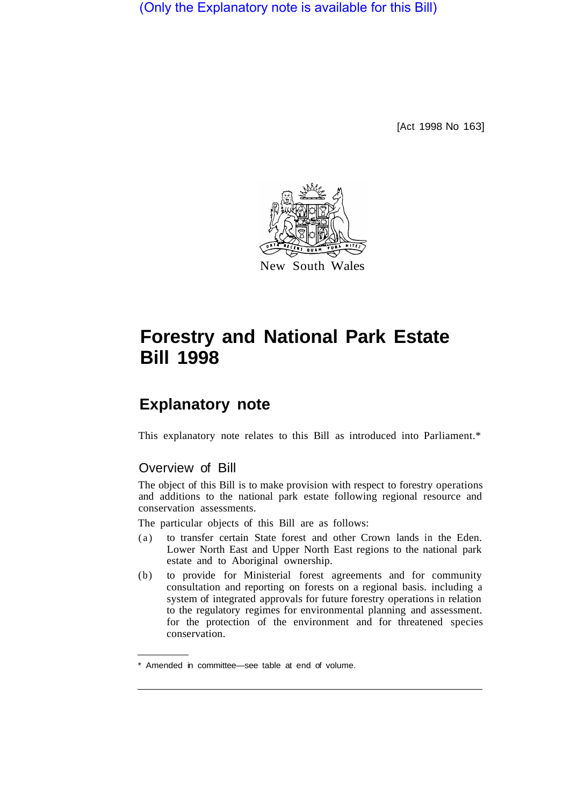(Only the Explanatory note is available for this Bill)

[Act 1998 No 163]



New South Wales

# **Forestry and National Park Estate Bill 1998**

# **Explanatory note**

This explanatory note relates to this Bill as introduced into Parliament.\*

### Overview of Bill

The object of this Bill is to make provision with respect to forestry operations and additions to the national park estate following regional resource and conservation assessments.

The particular objects of this Bill are as follows:

- (a) to transfer certain State forest and other Crown lands in the Eden. Lower North East and Upper North East regions to the national park estate and to Aboriginal ownership.
- (b) to provide for Ministerial forest agreements and for community consultation and reporting on forests on a regional basis. including a system of integrated approvals for future forestry operations in relation to the regulatory regimes for environmental planning and assessment. for the protection of the environment and for threatened species conservation.

<sup>\*</sup> Amended in committee—see table at end of volume.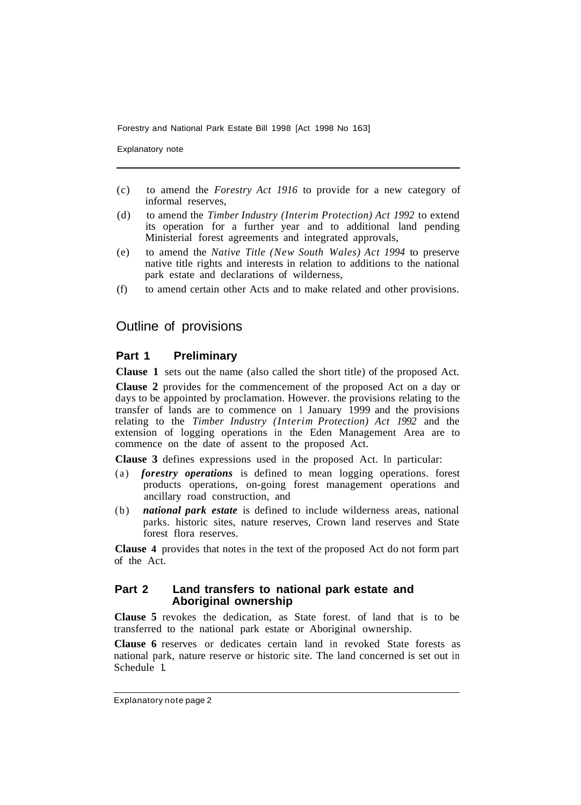Explanatory note

- (c) to amend the *Forestry Act 1916* to provide for a new category of informal reserves,
- (d) to amend the *Timber Industry (Interim Protection) Act 1992* to extend its operation for a further year and to additional land pending Ministerial forest agreements and integrated approvals,
- (e) to amend the *Native Title (New South Wales) Act 1994* to preserve native title rights and interests in relation to additions to the national park estate and declarations of wilderness,
- (f) to amend certain other Acts and to make related and other provisions.

## Outline of provisions

#### **Part 1 Preliminary**

**Clause 1** sets out the name (also called the short title) of the proposed Act.

**Clause 2** provides for the commencement of the proposed Act on a day or days to be appointed by proclamation. However. the provisions relating to the transfer of lands are to commence on 1 January 1999 and the provisions relating to the *Timber Industry (Interim Protection) Act 1992* and the extension of logging operations in the Eden Management Area are to commence on the date of assent to the proposed Act.

**Clause 3** defines expressions used in the proposed Act. In particular:

- (a) *forestry operations* is defined to mean logging operations. forest products operations, on-going forest management operations and ancillary road construction, and
- (b) *national park estate* is defined to include wilderness areas, national parks. historic sites, nature reserves, Crown land reserves and State forest flora reserves.

**Clause 4** provides that notes in the text of the proposed Act do not form part of the Act.

#### **Part 2 Land transfers to national park estate and Aboriginal ownership**

**Clause 5** revokes the dedication, as State forest. of land that is to be transferred to the national park estate or Aboriginal ownership.

**Clause 6** reserves or dedicates certain land in revoked State forests as national park, nature reserve or historic site. The land concerned is set out in Schedule 1.

Explanatory note page 2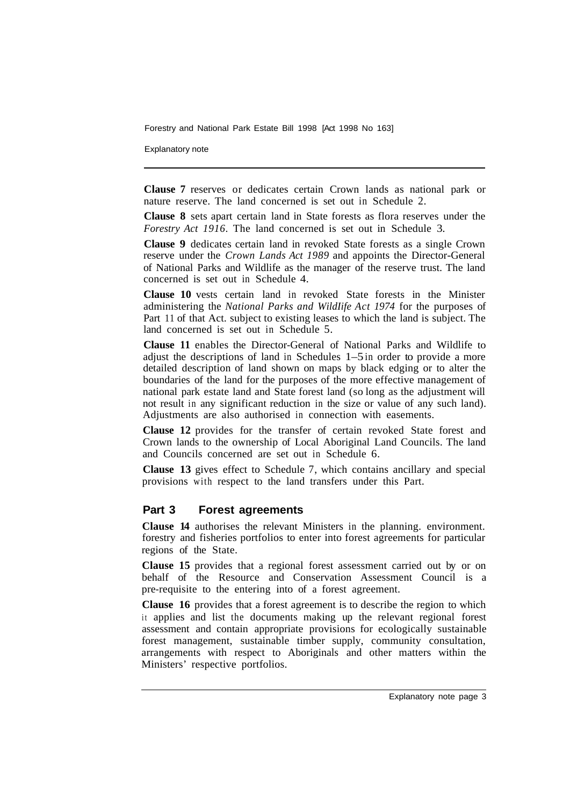Explanatory note

**Clause 7** reserves or dedicates certain Crown lands as national park or nature reserve. The land concerned is set out in Schedule 2.

**Clause 8** sets apart certain land in State forests as flora reserves under the *Forestry Act 1916.* The land concerned is set out in Schedule 3.

**Clause 9** dedicates certain land in revoked State forests as a single Crown reserve under the *Crown Lands Act 1989* and appoints the Director-General of National Parks and Wildlife as the manager of the reserve trust. The land concerned is set out in Schedule 4.

**Clause 10** vests certain land in revoked State forests in the Minister administering the *National Parks and WildIife Act 1974* for the purposes of Part 11 of that Act. subject to existing leases to which the land is subject. The land concerned is set out in Schedule 5.

**Clause 11** enables the Director-General of National Parks and Wildlife to adjust the descriptions of land in Schedules  $1-5$  in order to provide a more detailed description of land shown on maps by black edging or to alter the boundaries of the land for the purposes of the more effective management of national park estate land and State forest land (so long as the adjustment will not result in any significant reduction in the size or value of any such land). Adjustments are also authorised in connection with easements.

**Clause 12** provides for the transfer of certain revoked State forest and Crown lands to the ownership of Local Aboriginal Land Councils. The land and Councils concerned are set out in Schedule 6.

**Clause 13** gives effect to Schedule 7, which contains ancillary and special provisions with respect to the land transfers under this Part.

#### **Part 3 Forest agreements**

**Clause 14** authorises the relevant Ministers in the planning. environment. forestry and fisheries portfolios to enter into forest agreements for particular regions of the State.

**Clause 15** provides that a regional forest assessment carried out by or on behalf of the Resource and Conservation Assessment Council is a pre-requisite to the entering into of a forest agreement.

**Clause 16** provides that a forest agreement is to describe the region to which it applies and list the documents making up the relevant regional forest assessment and contain appropriate provisions for ecologically sustainable forest management, sustainable timber supply, community consultation, arrangements with respect to Aboriginals and other matters within the Ministers' respective portfolios.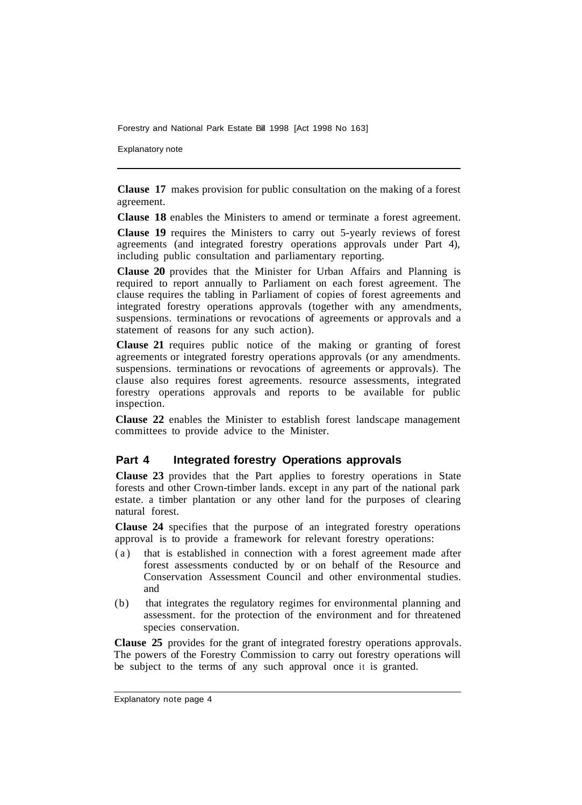Explanatory note

**Clause 17** makes provision for public consultation on the making of a forest agreement.

**Clause 18** enables the Ministers to amend or terminate a forest agreement.

**Clause 19** requires the Ministers to carry out 5-yearly reviews of forest agreements (and integrated forestry operations approvals under Part 4), including public consultation and parliamentary reporting.

**Clause 20** provides that the Minister for Urban Affairs and Planning is required to report annually to Parliament on each forest agreement. The clause requires the tabling in Parliament of copies of forest agreements and integrated forestry operations approvals (together with any amendments, suspensions. terminations or revocations of agreements or approvals and a statement of reasons for any such action).

**Clause 21** requires public notice of the making or granting of forest agreements or integrated forestry operations approvals (or any amendments. suspensions. terminations or revocations of agreements or approvals). The clause also requires forest agreements. resource assessments, integrated forestry operations approvals and reports to be available for public inspection.

**Clause 22** enables the Minister to establish forest landscape management committees to provide advice to the Minister.

#### **Part 4 Integrated forestry Operations approvals**

**Clause 23** provides that the Part applies to forestry operations in State forests and other Crown-timber lands. except in any part of the national park estate. a timber plantation or any other land for the purposes of clearing natural forest.

**Clause 24** specifies that the purpose of an integrated forestry operations approval is to provide a framework for relevant forestry operations:

- (a) that is established in connection with a forest agreement made after forest assessments conducted by or on behalf of the Resource and Conservation Assessment Council and other environmental studies. and
- (b) that integrates the regulatory regimes for environmental planning and assessment. for the protection of the environment and for threatened species conservation.

**Clause 25** provides for the grant of integrated forestry operations approvals. The powers of the Forestry Commission to carry out forestry operations will be subject to the terms of any such approval once it is granted.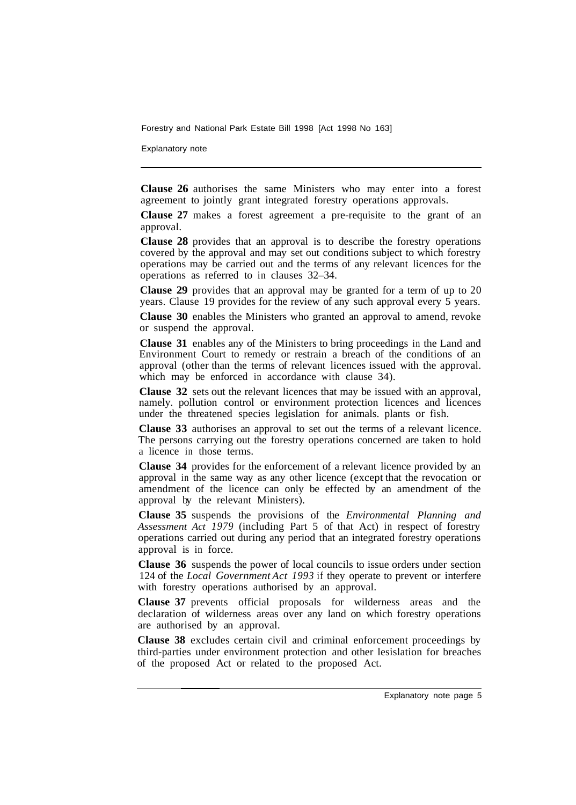Explanatory note

**Clause 26** authorises the same Ministers who may enter into a forest agreement to jointly grant integrated forestry operations approvals.

**Clause 27** makes a forest agreement a pre-requisite to the grant of an approval.

**Clause 28** provides that an approval is to describe the forestry operations covered by the approval and may set out conditions subject to which forestry operations may be carried out and the terms of any relevant licences for the operations as referred to in clauses 32–34.

**Clause 29** provides that an approval may be granted for a term of up to 20 years. Clause 19 provides for the review of any such approval every 5 years.

**Clause 30** enables the Ministers who granted an approval to amend, revoke or suspend the approval.

**Clause 31** enables any of the Ministers to bring proceedings in the Land and Environment Court to remedy or restrain a breach of the conditions of an approval (other than the terms of relevant licences issued with the approval. which may be enforced in accordance with clause 34).

**Clause 32** sets out the relevant licences that may be issued with an approval, namely. pollution control or environment protection licences and licences under the threatened species legislation for animals. plants or fish.

**Clause 33** authorises an approval to set out the terms of a relevant licence. The persons carrying out the forestry operations concerned are taken to hold a licence in those terms.

**Clause 34** provides for the enforcement of a relevant licence provided by an approval in the same way as any other licence (except that the revocation or amendment of the licence can only be effected by an amendment of the approval by the relevant Ministers).

**Clause 35** suspends the provisions of the *Environmental Planning and Assessment Act 1979* (including Part 5 of that Act) in respect of forestry operations carried out during any period that an integrated forestry operations approval is in force.

**Clause 36** suspends the power of local councils to issue orders under section 124 of the *Local Government Act 1993* if they operate to prevent or interfere with forestry operations authorised by an approval.

**Clause 37** prevents official proposals for wilderness areas and the declaration of wilderness areas over any land on which forestry operations are authorised by an approval.

**Clause 38** excludes certain civil and criminal enforcement proceedings by third-parties under environment protection and other lesislation for breaches of the proposed Act or related to the proposed Act.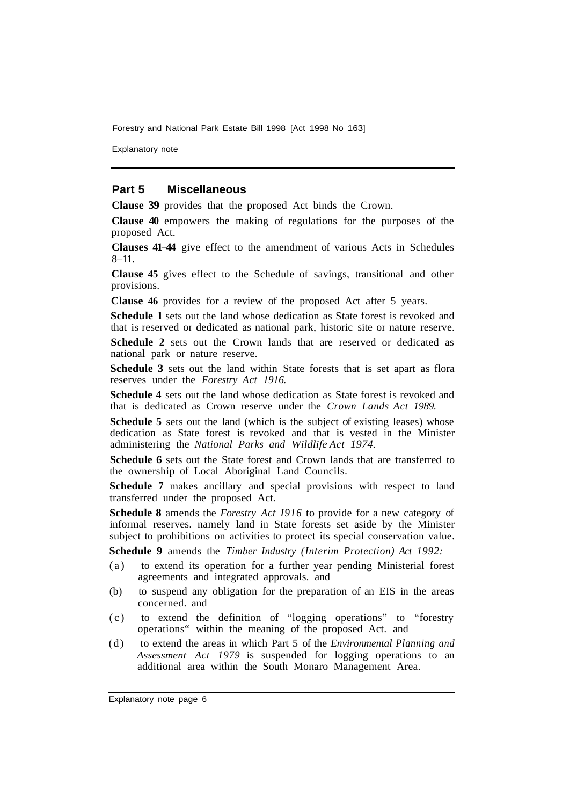Explanatory note

#### **Part 5 Miscellaneous**

**Clause 39** provides that the proposed Act binds the Crown.

**Clause 40** empowers the making of regulations for the purposes of the proposed Act.

**Clauses 41–44** give effect to the amendment of various Acts in Schedules  $8 - 11$ .

**Clause 45** gives effect to the Schedule of savings, transitional and other provisions.

**Clause 46** provides for a review of the proposed Act after 5 years.

**Schedule 1** sets out the land whose dedication as State forest is revoked and that is reserved or dedicated as national park, historic site or nature reserve.

**Schedule 2** sets out the Crown lands that are reserved or dedicated as national park or nature reserve.

**Schedule 3** sets out the land within State forests that is set apart as flora reserves under the *Forestry Act 1916.* 

**Schedule 4** sets out the land whose dedication as State forest is revoked and that is dedicated as Crown reserve under the *Crown Lands Act 1989.* 

**Schedule 5** sets out the land (which is the subject of existing leases) whose dedication as State forest is revoked and that is vested in the Minister administering the *National Parks and Wildlife Act 1974.* 

**Schedule 6** sets out the State forest and Crown lands that are transferred to the ownership of Local Aboriginal Land Councils.

**Schedule 7** makes ancillary and special provisions with respect to land transferred under the proposed Act.

**Schedule 8** amends the *Forestry Act I916* to provide for a new category of informal reserves. namely land in State forests set aside by the Minister subject to prohibitions on activities to protect its special conservation value.

**Schedule 9** amends the *Timber Industry (Interim Protection) Act 1992:* 

- (a) to extend its operation for a further year pending Ministerial forest agreements and integrated approvals. and
- (b) to suspend any obligation for the preparation of an EIS in the areas concerned. and
- (c) to extend the definition of "logging operations" to "forestry operations" within the meaning of the proposed Act. and
- (d) to extend the areas in which Part 5 of the *Environmental Planning and Assessment Act 1979* is suspended for logging operations to an additional area within the South Monaro Management Area.

Explanatory note page 6